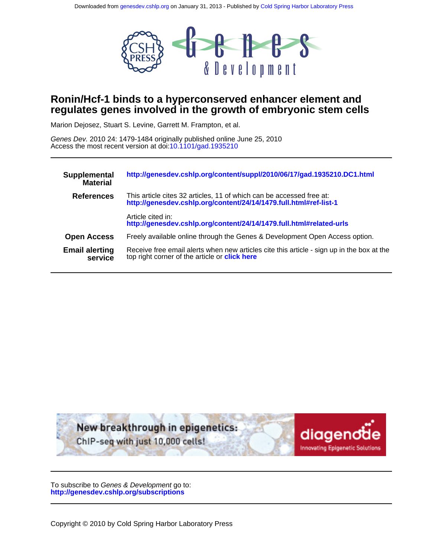

# **regulates genes involved in the growth of embryonic stem cells Ronin/Hcf-1 binds to a hyperconserved enhancer element and**

Marion Dejosez, Stuart S. Levine, Garrett M. Frampton, et al.

Access the most recent version at doi[:10.1101/gad.1935210](http://genesdev.cshlp.org/lookup/doi/10.1101/gad.1935210) Genes Dev. 2010 24: 1479-1484 originally published online June 25, 2010

| Supplemental<br><b>Material</b>  | http://genesdev.cshlp.org/content/suppl/2010/06/17/gad.1935210.DC1.html                                                                           |
|----------------------------------|---------------------------------------------------------------------------------------------------------------------------------------------------|
| <b>References</b>                | This article cites 32 articles, 11 of which can be accessed free at:<br>http://genesdev.cshlp.org/content/24/14/1479.full.html#ref-list-1         |
|                                  | Article cited in:<br>http://genesdev.cshlp.org/content/24/14/1479.full.html#related-urls                                                          |
| <b>Open Access</b>               | Freely available online through the Genes & Development Open Access option.                                                                       |
| <b>Email alerting</b><br>service | Receive free email alerts when new articles cite this article - sign up in the box at the<br>top right corner of the article or <b>click here</b> |



**<http://genesdev.cshlp.org/subscriptions>** To subscribe to Genes & Development go to: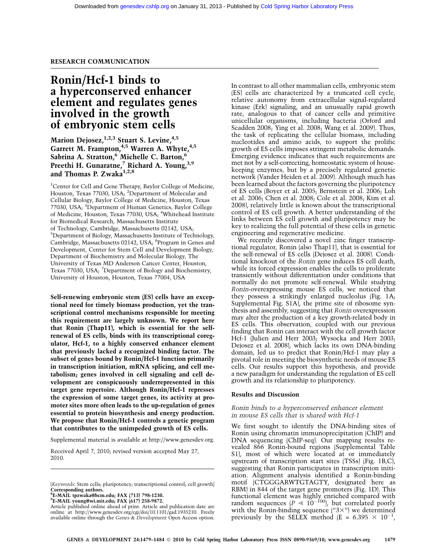# RESEARCH COMMUNICATION

# Ronin/Hcf-1 binds to a hyperconserved enhancer element and regulates genes involved in the growth of embryonic stem cells

Marion Dejosez,<sup>1,2,3</sup> Stuart S. Levine,<sup>4,5</sup> Garrett M. Frampton, <sup>4,5</sup> Warren A. Whyte, <sup>4,5</sup> Sabrina A. Stratton,<sup>6</sup> Michelle C. Barton,<sup>6</sup> Preethi H. Gunaratne,<sup>7</sup> Richard A. Young,<sup>3,9</sup> and Thomas P. Zwaka<sup>1,2,8</sup>

<sup>1</sup>Center for Cell and Gene Therapy, Baylor College of Medicine, Houston, Texas 77030, USA; <sup>2</sup>Department of Molecular and Cellular Biology, Baylor College of Medicine, Houston, Texas 77030, USA; <sup>3</sup>Department of Human Genetics, Baylor College of Medicine, Houston, Texas 77030, USA; <sup>4</sup>Whitehead Institute for Biomedical Research, Massachusetts Institute of Technology, Cambridge, Massachusetts 02142, USA; 5 Department of Biology, Massachusetts Institute of Technology, Cambridge, Massachusetts 02142, USA; <sup>6</sup>Program in Genes and Development, Center for Stem Cell and Development Biology, Department of Biochemistry and Molecular Biology, The University of Texas MD Anderson Cancer Center, Houston, Texas 77030, USA; <sup>7</sup>Department of Biology and Biochemistry, University of Houston, Houston, Texas 77004, USA

Self-renewing embryonic stem (ES) cells have an exceptional need for timely biomass production, yet the transcriptional control mechanisms responsible for meeting this requirement are largely unknown. We report here that Ronin (Thap11), which is essential for the selfrenewal of ES cells, binds with its transcriptional coregulator, Hcf-1, to a highly conserved enhancer element that previously lacked a recognized binding factor. The subset of genes bound by Ronin/Hcf-1 function primarily in transcription initiation, mRNA splicing, and cell metabolism; genes involved in cell signaling and cell development are conspicuously underrepresented in this target gene repertoire. Although Ronin/Hcf-1 represses the expression of some target genes, its activity at promoter sites more often leads to the up-regulation of genes essential to protein biosynthesis and energy production. We propose that Ronin/Hcf-1 controls a genetic program that contributes to the unimpeded growth of ES cells.

Supplemental material is available at http://www.genesdev.org.

Received April 7, 2010; revised version accepted May 27, 2010.

8 E-MAIL tpzwaka@bcm.edu; FAX (713) 798-1230.

9 E-MAIL young@wi.mit.edu; FAX (617) 258-9872.

In contrast to all other mammalian cells, embryonic stem (ES) cells are characterized by a truncated cell cycle, relative autonomy from extracellular signal-regulated kinase (Erk) signaling, and an unusually rapid growth rate, analogous to that of cancer cells and primitive unicellular organisms, including bacteria (Orford and Scadden 2008; Ying et al. 2008; Wang et al. 2009). Thus, the task of replicating the cellular biomass, including nucleotides and amino acids, to support the prolific growth of ES cells imposes stringent metabolic demands. Emerging evidence indicates that such requirements are met not by a self-correcting, homeostatic system of housekeeping enzymes, but by a precisely regulated genetic network (Vander Heiden et al. 2009). Although much has been learned about the factors governing the pluripotency of ES cells (Boyer et al. 2005; Bernstein et al. 2006; Loh et al. 2006; Chen et al. 2008; Cole et al. 2008; Kim et al. 2008), relatively little is known about the transcriptional control of ES cell growth. A better understanding of the links between ES cell growth and pluripotency may be key to realizing the full potential of these cells in genetic engineering and regenerative medicine.

We recently discovered a novel zinc finger transcriptional regulator, Ronin (also Thap11), that is essential for the self-renewal of ES cells (Dejosez et al. 2008). Conditional knockout of the Ronin gene induces ES cell death, while its forced expression enables the cells to proliferate transiently without differentiation under conditions that normally do not promote self-renewal. While studying Ronin-overexpressing mouse ES cells, we noticed that they possess a strikingly enlarged nucleolus (Fig. 1A; Supplemental Fig. S1A), the prime site of ribosome synthesis and assembly, suggesting that Ronin overexpression may alter the production of a key growth-related body in ES cells. This observation, coupled with our previous finding that Ronin can interact with the cell growth factor Hcf-1 (Julien and Herr 2003; Wysocka and Herr 2003; Dejosez et al. 2008), which lacks its own DNA-binding domain, led us to predict that Ronin/Hcf-1 may play a pivotal role in meeting the biosynthetic needs of mouse ES cells. Our results support this hypothesis, and provide a new paradigm for understanding the regulation of ES cell growth and its relationship to pluripotency.

## Results and Discussion

# Ronin binds to a hyperconserved enhancer element in mouse ES cells that is shared with Hcf-1

We first sought to identify the DNA-binding sites of Ronin using chromatin immunoprecipitation (ChIP) and DNA sequencing (ChIP-seq). Our mapping results revealed 866 Ronin-bound regions (Supplemental Table S1), most of which were located at or immediately upstream of transcription start sites (TSSs) (Fig. 1B,C), suggesting that Ronin participates in transcription initiation. Alignment analysis identified a Ronin-binding motif (CTGGGARWTGTAGTY, designated here as RBM) in 844 of the target gene promoters (Fig. 1D). This functional element was highly enriched compared with random sequences  $(P \ll 10^{-100})$ , but correlated poorly with the Ronin-binding sequence  $('3×'')$  we determined previously by the SELEX method (E = 6.395  $\times$  10<sup>-1</sup>,

<sup>[</sup>Keywords: Stem cells; pluripotency; transcriptional control; cell growth] Corresponding authors.

Article published online ahead of print. Article and publication date are online at http://www.genesdev.org/cgi/doi/10.1101/gad.1935210. Freely available online through the Genes & Development Open Access option.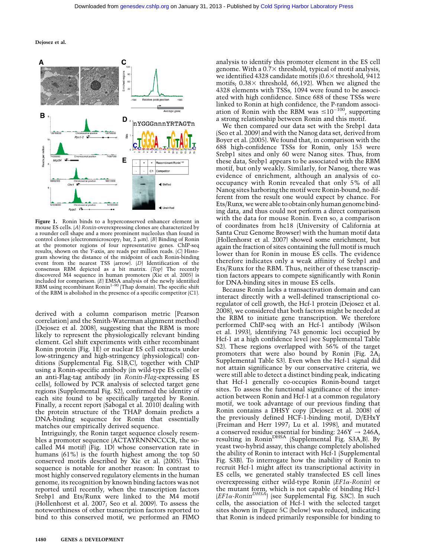Dejosez et al.



Figure 1. Ronin binds to a hyperconserved enhancer element in mouse ES cells. (A) Ronin-overexpressing clones are characterized by a rounder cell shape and a more prominent nucleolus than found in control clones (electronmicroscopy; bar, 2  $\mu$ m). (B) Binding of Ronin at the promoter regions of four representative genes. ChIP-seq results, shown on the Y-axis, are reads per million reads. (C) Histogram showing the distance of the midpoint of each Ronin-binding event from the nearest TSS (arrow). (D) Identification of the consensus RBM depicted as a bit matrix. (Top) The recently discovered M4 sequence in human promoters (Xie et al. 2005) is included for comparison. (E) EMSA analysis of the newly identified RBM using recombinant  $\text{Ronin}^{1-90}$  (Thap domain). The specific shift of the RBM is abolished in the presence of a specific competitor (C1).

derived with a column comparison metric [Pearson correlation] and the Smith-Waterman alignment method) (Dejosez et al. 2008), suggesting that the RBM is more likely to represent the physiologically relevant binding element. Gel shift experiments with either recombinant Ronin protein (Fig. 1E) or nuclear ES cell extracts under low-stringency and high-stringency (physiological) conditions (Supplemental Fig. S1B,C), together with ChIP using a Ronin-specific antibody (in wild-type ES cells) or an anti-Flag-tag antibody (in Ronin-Flag-expressing ES cells), followed by PCR analysis of selected target gene regions (Supplemental Fig. S2), confirmed the identity of each site found to be specifically targeted by Ronin. Finally, a recent report (Sabogal et al. 2010) dealing with the protein structure of the THAP domain predicts a DNA-binding sequence for Ronin that essentially matches our empirically derived sequence.

Intriguingly, the Ronin target sequence closely resembles a promoter sequence (ACTAYRNNNCCCR, the socalled M4 motif) (Fig. 1D) whose conservation rate in humans (61%) is the fourth highest among the top 50 conserved motifs described by Xie et al. (2005). This sequence is notable for another reason: In contrast to most highly conserved regulatory elements in the human genome, its recognition by known binding factors was not reported until recently, when the transcription factors Srebp1 and Ets/Runx were linked to the M4 motif (Hollenhorst et al. 2007; Seo et al. 2009). To assess the noteworthiness of other transcription factors reported to bind to this conserved motif, we performed an FIMO

analysis to identify this promoter element in the ES cell genome. With a  $0.7\times$  threshold, typical of motif analysis, we identified 4328 candidate motifs  $(0.6\times$  threshold, 9412 motifs;  $0.38\times$  threshold, 66,192). When we aligned the 4328 elements with TSSs, 1094 were found to be associated with high confidence. Since 688 of these TSSs were linked to Ronin at high confidence, the P-random association of Ronin with the RBM was  $\leq 10^{-100}$ , supporting a strong relationship between Ronin and this motif.

We then compared our data set with the Srebp1 data (Seo et al. 2009) and with the Nanog data set, derived from Boyer et al. (2005). We found that, in comparison with the 688 high-confidence TSSs for Ronin, only 153 were Srebp1 sites and only 60 were Nanog sites. Thus, from these data, Srebp1 appears to be associated with the RBM motif, but only weakly. Similarly, for Nanog, there was evidence of enrichment, although an analysis of cooccupancy with Ronin revealed that only 5% of all Nanog sites harboring the motif were Ronin-bound, no different from the result one would expect by chance. For Ets/Runx, we were able to obtain only human genome binding data, and thus could not perform a direct comparison with the data for mouse Ronin. Even so, a comparison of coordinates from hc18 (University of California at Santa Cruz Genome Browser) with the human motif data (Hollenhorst et al. 2007) showed some enrichment, but again the fraction of sites containing the full motif is much lower than for Ronin in mouse ES cells. The evidence therefore indicates only a weak affinity of Srebp1 and Ets/Runx for the RBM. Thus, neither of these transcription factors appears to compete significantly with Ronin for DNA-binding sites in mouse ES cells.

Because Ronin lacks a transactivation domain and can interact directly with a well-defined transcriptional coregulator of cell growth, the Hcf-1 protein (Dejosez et al. 2008), we considered that both factors might be needed at the RBM to initiate gene transcription. We therefore performed ChIP-seq with an Hcf-1 antibody (Wilson et al. 1993), identifying 743 genomic loci occupied by Hcf-1 at a high confidence level (see Supplemental Table S2). These regions overlapped with 56% of the target promoters that were also bound by Ronin (Fig. 2A; Supplemental Table S3). Even when the Hcf-1 signal did not attain significance by our conservative criteria, we were still able to detect a distinct binding peak, indicating that Hcf-1 generally co-occupies Ronin-bound target sites. To assess the functional significance of the interaction between Ronin and Hcf-1 at a common regulatory motif, we took advantage of our previous finding that Ronin contains a DHSY copy (Dejosez et al. 2008) of the previously defined HCF-1-binding motif, D/EHxY (Freiman and Herr 1997; Lu et al. 1998), and mutated a conserved residue essential for binding:  $246Y \rightarrow 246A$ , resulting in RoninDHSA (Supplemental Fig. S3A,B). By yeast two-hybrid assay, this change completely abolished the ability of Ronin to interact with Hcf-1 (Supplemental Fig. S3B). To interrogate how the inability of Ronin to recruit Hcf-1 might affect its transcriptional activity in ES cells, we generated stably transfected ES cell lines overexpressing either wild-type Ronin  $EFA \sim R$ onin) or the mutant form, which is not capable of binding Hcf-1  $(EF1\alpha\text{-}Ronin<sup>DHSA'</sup>)$  (see Supplemental Fig. S3C). In such cells, the association of Hcf-1 with the selected target sites shown in Figure 5C (below) was reduced, indicating that Ronin is indeed primarily responsible for binding to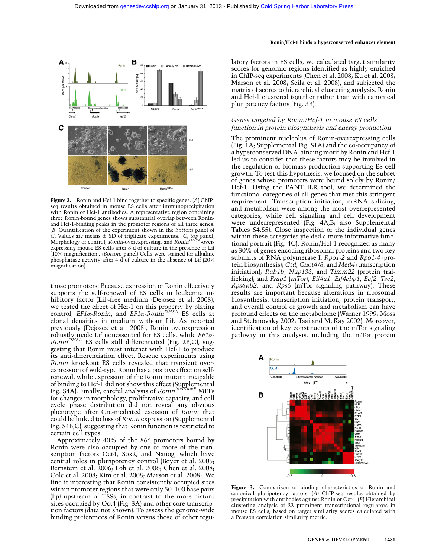

Figure 2. Ronin and Hcf-1 bind together to specific genes. (A) ChIPseq results obtained in mouse ES cells after immunoprecipitation with Ronin or Hcf-1 antibodies. A representative region containing three Ronin-bound genes shows substantial overlap between Roninand Hcf-1-binding peaks in the promoter regions of all three genes. (B) Quantification of the experiment shown in the bottom panel of C. Values are means  $\pm$  SD of triplicate experiments. (C, top panel) Morphology of control, Ronin-overexpressing, and Ronin<sup>DHSA</sup>-overexpressing mouse ES cells after 3 d of culture in the presence of Lif  $(10\times$  magnification). (Bottom panel) Cells were stained for alkaline phosphatase activity after 4 d of culture in the absence of Lif  $(20\times$ magnification).

those promoters. Because expression of Ronin effectively supports the self-renewal of ES cells in leukemia inhibitory factor (Lif)-free medium (Dejosez et al. 2008), we tested the effect of Hcf-1 on this property by plating control,  $EFA-Ronin$ , and  $EFA-Ronin<sup>DRSA</sup>$  ES cells at clonal densities in medium without Lif. As reported previously (Dejosez et al. 2008), Ronin overexpression robustly made Lif nonessential for ES cells, while  $EFA Ronin<sup>DHSA</sup>$  ES cells still differentiated (Fig. 2B,C), suggesting that Ronin must interact with Hcf-1 to produce its anti-differentiation effect. Rescue experiments using Ronin knockout ES cells revealed that transient overexpression of wild-type Ronin has a positive effect on selfrenewal, while expression of the Ronin mutant incapable of binding to Hcf-1 did not show this effect (Supplemental<br>Fig. S4A). Finally, careful analysis of *Ronin<sup>loxP/loxP</sup> M*EFs for changes in morphology, proliferative capacity, and cell cycle phase distribution did not reveal any obvious phenotype after Cre-mediated excision of Ronin that could be linked to loss of Ronin expression (Supplemental Fig. S4B,C), suggesting that Ronin function is restricted to certain cell types.

Approximately 40% of the 866 promoters bound by Ronin were also occupied by one or more of the transcription factors Oct4, Sox2, and Nanog, which have central roles in pluripotency control (Boyer et al. 2005; Bernstein et al. 2006; Loh et al. 2006; Chen et al. 2008; Cole et al. 2008; Kim et al. 2008; Marson et al. 2008). We find it interesting that Ronin consistently occupied sites within promoter regions that were only 50–100 base pairs (bp) upstream of TSSs, in contrast to the more distant sites occupied by Oct4 (Fig. 3A) and other core transcription factors (data not shown). To assess the genome-wide binding preferences of Ronin versus those of other regu-

#### Ronin/Hcf-1 binds a hyperconserved enhancer element

latory factors in ES cells, we calculated target similarity scores for genomic regions identified as highly enriched in ChIP-seq experiments (Chen et al. 2008; Ku et al. 2008; Marson et al. 2008; Seila et al. 2008), and subjected the matrix of scores to hierarchical clustering analysis. Ronin and Hcf-1 clustered together rather than with canonical pluripotency factors (Fig. 3B).

## Genes targeted by Ronin/Hcf-1 in mouse ES cells function in protein biosynthesis and energy production

The prominent nucleolus of Ronin-overexpressing cells (Fig. 1A; Supplemental Fig. S1A) and the co-occupancy of a hyperconserved DNA-binding motif by Ronin and Hcf-1 led us to consider that these factors may be involved in the regulation of biomass production supporting ES cell growth. To test this hypothesis, we focused on the subset of genes whose promoters were bound solely by Ronin/ Hcf-1. Using the PANTHER tool, we determined the functional categories of all genes that met this stringent requirement. Transcription initiation, mRNA splicing, and metabolism were among the most overrepresented categories, while cell signaling and cell development were underrepresented (Fig. 4A,B; also Supplemental Tables S4,S5). Close inspection of the individual genes within these categories yielded a more informative functional portrait (Fig. 4C). Ronin/Hcf-1 recognized as many as 30% of genes encoding ribosomal proteins and two key subunits of RNA polymerase I, Rpo1-2 and Rpo1-4 (protein biosynthesis); Ctd, Cnot4/8, and Med4 (transcription initiation); Rab1b, Nup133, and Timm22 (protein trafficking); and Frap1 (mTor), Eif4a1, Eif4ebp1, Eef2, Tsc2, Rps6kb2, and Rps6 (mTor signaling pathway). These results are important because alterations in ribosomal biosynthesis, transcription initiation, protein transport, and overall control of growth and metabolism can have profound effects on the metabolome (Warner 1999; Moss and Stefanovsky 2002; Tsai and McKay 2002). Moreover, identification of key constituents of the mTor signaling pathway in this analysis, including the mTor protein



Figure 3. Comparison of binding characteristics of Ronin and canonical pluripotency factors. (A) ChIP-seq results obtained by precipitation with antibodies against Ronin or Oct4. (B) Hierarchical clustering analysis of 22 prominent transcriptional regulators in mouse ES cells, based on target similarity scores calculated with a Pearson correlation similarity metric.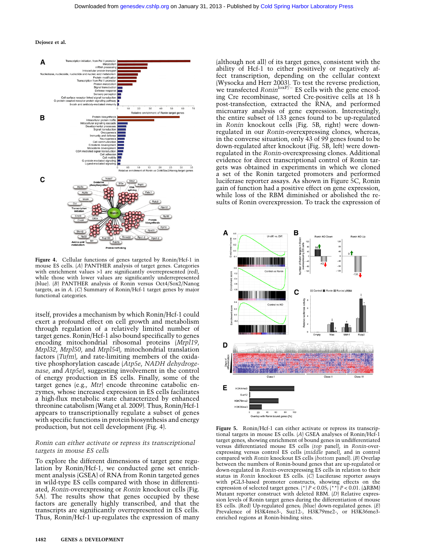#### Dejosez et al.



Figure 4. Cellular functions of genes targeted by Ronin/Hcf-1 in mouse ES cells. (A) PANTHER analysis of target genes. Categories with enrichment values >1 are significantly overrepresented (red), while those with lower values are significantly underrepresented (blue). (B) PANTHER analysis of Ronin versus Oct4/Sox2/Nanog targets, as in A. (C) Summary of Ronin/Hcf-1 target genes by major functional categories.

itself, provides a mechanism by which Ronin/Hcf-1 could exert a profound effect on cell growth and metabolism through regulation of a relatively limited number of target genes. Ronin/Hcf-1 also bound specifically to genes encoding mitochondrial ribosomal proteins (Mrpl19, Mrpl32, Mrpl50, and Mrpl54), mitochondrial translation factors (Tufm), and rate-limiting members of the oxidative phosphorylation cascade (Atp5e, NADH dehydrogenase, and Atp5e, suggesting involvement in the control of energy production in ES cells. Finally, some of the target genes (e.g., Mtr) encode threonine catabolic enzymes, whose increased expression in ES cells facilitates a high-flux metabolic state characterized by enhanced threonine catabolism (Wang et al. 2009). Thus, Ronin/Hcf-1 appears to transcriptionally regulate a subset of genes with specific functions in protein biosynthesis and energy production, but not cell development (Fig. 4).

## Ronin can either activate or repress its transcriptional targets in mouse ES cells

To explore the different dimensions of target gene regulation by Ronin/Hcf-1, we conducted gene set enrichment analysis (GSEA) of RNA from Ronin targeted genes in wild-type ES cells compared with those in differentiated, Ronin-overexpressing or Ronin knockout cells (Fig. 5A). The results show that genes occupied by these factors are generally highly transcribed, and that the transcripts are significantly overrepresented in ES cells. Thus, Ronin/Hcf-1 up-regulates the expression of many (although not all) of its target genes, consistent with the ability of Hcf-1 to either positively or negatively affect transcription, depending on the cellular context (Wysocka and Herr 2003). To test the reverse prediction,<br>we transfected *Ronin<sup>loxP/–</sup>* ES cells with the gene encoding Cre recombinase, sorted Cre-positive cells at 18 h post-transfection, extracted the RNA, and performed microarray analysis of gene expression. Interestingly, the entire subset of 133 genes found to be up-regulated in Ronin knockout cells (Fig. 5B, right) were downregulated in our Ronin-overexpressing clones, whereas, in the converse situation, only 43 of 99 genes found to be down-regulated after knockout (Fig. 5B, left) were downregulated in the Ronin-overexpressing clones. Additional evidence for direct transcriptional control of Ronin targets was obtained in experiments in which we cloned a set of the Ronin targeted promoters and performed luciferase reporter assays. As shown in Figure 5C, Ronin gain of function had a positive effect on gene expression, while loss of the RBM diminished or abolished the results of Ronin overexpression. To track the expression of



Figure 5. Ronin/Hcf-1 can either activate or repress its transcriptional targets in mouse ES cells. (A) GSEA analyses of Ronin/Hcf-1 target genes, showing enrichment of bound genes in undifferentiated versus differentiated mouse ES cells (top panel), in Ronin-overexpressing versus control ES cells (middle panel), and in control compared with Ronin knockout ES cells (bottom panel). (B) Overlap between the numbers of Ronin-bound genes that are up-regulated or down-regulated in Ronin-overexpressing ES cells in relation to their status in Ronin knockout ES cells. (C) Luciferase reporter assays with pGL3-based promoter constructs, showing effects on the expression of selected target genes. (\*)  $P < 0.05$ ; (\*\*)  $P < 0.01$ . ( $\triangle$ RBM) Mutant reporter construct with deleted RBM. (D) Relative expression levels of Ronin target genes during the differentiation of mouse ES cells. (Red) Up-regulated genes; (blue) down-regulated genes. (E) Prevalence of H3K4me3-, Suz12-, H3K79me2-, or H3K36me3enriched regions at Ronin-binding sites.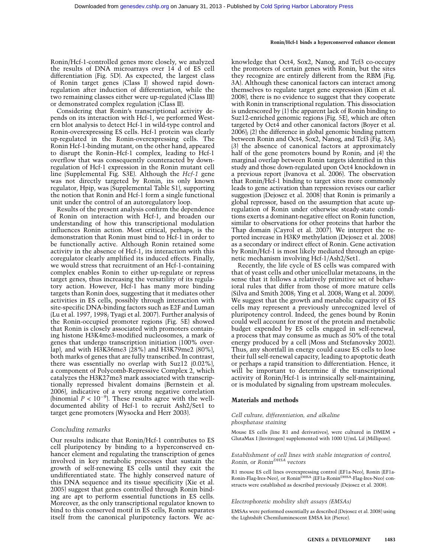## Ronin/Hcf-1 binds a hyperconserved enhancer element

Ronin/Hcf-1-controlled genes more closely, we analyzed the results of DNA microarrays over 14 d of ES cell differentiation (Fig. 5D). As expected, the largest class of Ronin target genes (Class I) showed rapid downregulation after induction of differentiation, while the two remaining classes either were up-regulated (Class III) or demonstrated complex regulation (Class II).

Considering that Ronin's transcriptional activity depends on its interaction with Hcf-1, we performed Western blot analysis to detect Hcf-1 in wild-type control and Ronin-overexpressing ES cells. Hcf-1 protein was clearly up-regulated in the Ronin-overexpressing cells. The Ronin Hcf-1-binding mutant, on the other hand, appeared to disrupt the Ronin–Hcf-1 complex, leading to Hcf-1 overflow that was consequently counteracted by downregulation of Hcf-1 expression in the Ronin mutant cell line (Supplemental Fig. S3E). Although the Hcf-1 gene was not directly targeted by Ronin, its only known regulator, Hpip, was (Supplemental Table S1), supporting the notion that Ronin and Hcf-1 form a single functional unit under the control of an autoregulatory loop.

Results of the present analysis confirm the dependence of Ronin on interaction with Hcf-1, and broaden our understanding of how this transcriptional modulation influences Ronin action. Most critical, perhaps, is the demonstration that Ronin must bind to Hcf-1 in order to be functionally active. Although Ronin retained some activity in the absence of Hcf-1, its interaction with this coregulator clearly amplified its induced effects. Finally, we would stress that recruitment of an Hcf-1-containing complex enables Ronin to either up-regulate or repress target genes, thus increasing the versatility of its regulatory action. However, Hcf-1 has many more binding targets than Ronin does, suggesting that it mediates other activities in ES cells, possibly through interaction with site-specific DNA-binding factors such as E2F and Luman (Lu et al. 1997, 1998; Tyagi et al. 2007). Further analysis of the Ronin-occupied promoter regions (Fig. 5E) showed that Ronin is closely associated with promoters containing histone H3K4me3-modified nucleosomes, a mark of genes that undergo transcription initiation (100% overlap), and with H3K36me3 (28%) and H3K79me2 (80%), both marks of genes that are fully transcribed. In contrast, there was essentially no overlap with Suz12 (0.02%), a component of Polycomb-Repressive Complex 2, which catalyzes the H3K27me3 mark associated with transcriptionally repressed bivalent domains (Bernstein et al. 2006), indicative of a very strong negative correlation (binomial  $P < 10^{-9}$ ). These results agree with the welldocumented ability of Hcf-1 to recruit Ash2/Set1 to target gene promoters (Wysocka and Herr 2003).

# Concluding remarks

Our results indicate that Ronin/Hcf-1 contributes to ES cell pluripotency by binding to a hyperconserved enhancer element and regulating the transcription of genes involved in key metabolic processes that sustain the growth of self-renewing ES cells until they exit the undifferentiated state. The highly conserved nature of this DNA sequence and its tissue specificity (Xie et al. 2005) suggest that genes controlled through Ronin binding are apt to perform essential functions in ES cells. Moreover, as the only transcriptional regulator known to bind to this conserved motif in ES cells, Ronin separates itself from the canonical pluripotency factors. We acknowledge that Oct4, Sox2, Nanog, and Tcf3 co-occupy the promoters of certain genes with Ronin, but the sites they recognize are entirely different from the RBM (Fig. 3A). Although these canonical factors can interact among themselves to regulate target gene expression (Kim et al. 2008), there is no evidence to suggest that they cooperate with Ronin in transcriptional regulation. This dissociation is underscored by (1) the apparent lack of Ronin binding to Suz12-enriched genomic regions (Fig. 5E), which are often targeted by Oct4 and other canonical factors (Boyer et al. 2006); (2) the difference in global genomic binding pattern between Ronin and Oct4, Sox2, Nanog, and Tcf3 (Fig. 3A); (3) the absence of canonical factors at approximately half of the gene promoters bound by Ronin; and (4) the marginal overlap between Ronin targets identified in this study and those down-regulated upon Oct4 knockdown in a previous report (Ivanova et al. 2006). The observation that Ronin/Hcf-1 binding to target sites more commonly leads to gene activation than repression revises our earlier suggestion (Dejosez et al. 2008) that Ronin is primarily a global repressor, based on the assumption that acute upregulation of Ronin under otherwise steady-state conditions exerts a dominant-negative effect on Ronin function, similar to observations for other proteins that harbor the Thap domain (Cayrol et al. 2007). We interpret the reported increase in H3K9 methylation (Dejosez et al. 2008) as a secondary or indirect effect of Ronin. Gene activation by Ronin/Hcf-1 is most likely mediated through an epigenetic mechanism involving Hcf-1/Ash2/Set1.

Recently, the life cycle of ES cells was compared with that of yeast cells and other unicellular metazoans, in the sense that it follows a relatively primitive set of behavioral rules that differ from those of more mature cells (Silva and Smith 2008; Ying et al. 2008; Wang et al. 2009). We suggest that the growth and metabolic capacity of ES cells may represent a previously unrecognized level of pluripotency control. Indeed, the genes bound by Ronin could well account for most of the protein and metabolic budget expended by ES cells engaged in self-renewal, a process that may consume as much as 50% of the total energy produced by a cell (Moss and Stefanovsky 2002). Thus, any shortfall in energy could cause ES cells to lose their full self-renewal capacity, leading to apoptotic death or perhaps a rapid transition to differentiation. Hence, it will be important to determine if the transcriptional activity of Ronin/Hcf-1 is intrinsically self-maintaining, or is modulated by signaling from upstream molecules.

# Materials and methods

## Cell culture, differentiation, and alkaline phosphatase staining

Mouse ES cells (line R1 and derivatives), were cultured in DMEM + GlutaMax I (Invitrogen) supplemented with 1000 U/mL Lif (Millipore).

## Establishment of cell lines with stable integration of control, Ronin, or Ronin<sup>DHSA</sup> vectors

R1 mouse ES cell lines overexpressing control (EF1a-Neo), Ronin (EF1a-Ronin-Flag-Ires-Neo), or Ronin<sup>DHSA</sup> (EF1a-Ronin<sup>DHSA</sup>-Flag-Ires-Neo) constructs were established as described previously (Dejosez et al. 2008).

# Electrophoretic mobility shift assays (EMSAs)

EMSAs were performed essentially as described (Dejosez et al. 2008) using the Lightshift Chemiluminescent EMSA kit (Pierce).